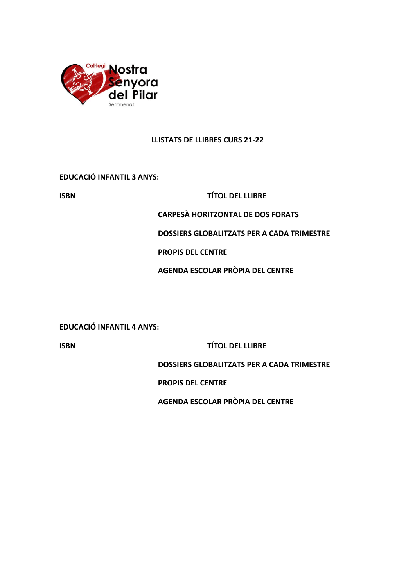

#### **LLISTATS DE LLIBRES CURS 21-22**

**EDUCACIÓ INFANTIL 3 ANYS:**

#### **ISBN TÍTOL DEL LLIBRE**

**CARPESÀ HORITZONTAL DE DOS FORATS**

**DOSSIERS GLOBALITZATS PER A CADA TRIMESTRE** 

**PROPIS DEL CENTRE**

**AGENDA ESCOLAR PRÒPIA DEL CENTRE**

**EDUCACIÓ INFANTIL 4 ANYS:**

**ISBN TÍTOL DEL LLIBRE**

**DOSSIERS GLOBALITZATS PER A CADA TRIMESTRE** 

**PROPIS DEL CENTRE** 

**AGENDA ESCOLAR PRÒPIA DEL CENTRE**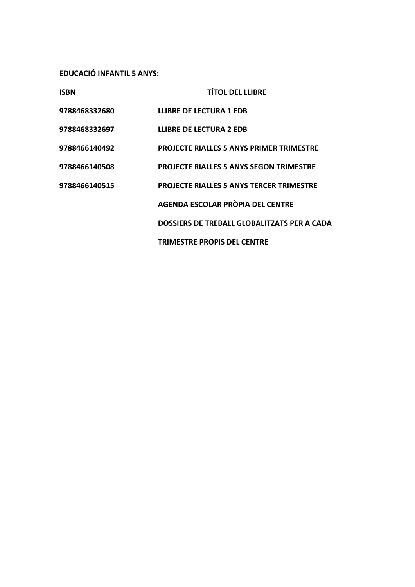**EDUCACIÓ INFANTIL 5 ANYS:**

| <b>ISBN</b>   | <b>TÍTOL DEL LLIBRE</b>                         |
|---------------|-------------------------------------------------|
| 9788468332680 | <b>LLIBRE DE LECTURA 1 EDB</b>                  |
| 9788468332697 | <b>LLIBRE DE LECTURA 2 EDB</b>                  |
| 9788466140492 | <b>PROJECTE RIALLES 5 ANYS PRIMER TRIMESTRE</b> |
| 9788466140508 | <b>PROJECTE RIALLES 5 ANYS SEGON TRIMESTRE</b>  |
| 9788466140515 | <b>PROJECTE RIALLES 5 ANYS TERCER TRIMESTRE</b> |
|               | AGENDA ESCOLAR PRÒPIA DEL CENTRE                |
|               | DOSSIERS DE TREBALL GLOBALITZATS PER A CADA     |
|               | <b>TRIMESTRE PROPIS DEL CENTRE</b>              |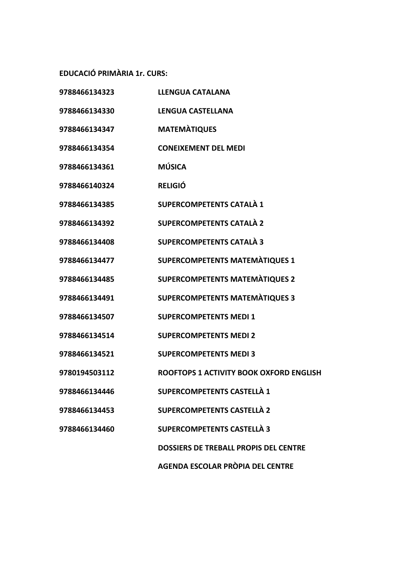**EDUCACIÓ PRIMÀRIA 1r. CURS:**

| 9788466134323 | <b>LLENGUA CATALANA</b>                      |
|---------------|----------------------------------------------|
| 9788466134330 | <b>LENGUA CASTELLANA</b>                     |
| 9788466134347 | <b>MATEMATIQUES</b>                          |
| 9788466134354 | <b>CONEIXEMENT DEL MEDI</b>                  |
| 9788466134361 | <b>MÚSICA</b>                                |
| 9788466140324 | <b>RELIGIÓ</b>                               |
| 9788466134385 | <b>SUPERCOMPETENTS CATALÀ 1</b>              |
| 9788466134392 | <b>SUPERCOMPETENTS CATALÀ 2</b>              |
| 9788466134408 | <b>SUPERCOMPETENTS CATALÀ 3</b>              |
| 9788466134477 | <b>SUPERCOMPETENTS MATEMATIQUES 1</b>        |
| 9788466134485 | <b>SUPERCOMPETENTS MATEMATIQUES 2</b>        |
| 9788466134491 | <b>SUPERCOMPETENTS MATEMATIQUES 3</b>        |
| 9788466134507 | <b>SUPERCOMPETENTS MEDI 1</b>                |
| 9788466134514 | <b>SUPERCOMPETENTS MEDI 2</b>                |
| 9788466134521 | <b>SUPERCOMPETENTS MEDI3</b>                 |
| 9780194503112 | ROOFTOPS 1 ACTIVITY BOOK OXFORD ENGLISH      |
| 9788466134446 | <b>SUPERCOMPETENTS CASTELLÀ 1</b>            |
| 9788466134453 | <b>SUPERCOMPETENTS CASTELLÀ 2</b>            |
| 9788466134460 | <b>SUPERCOMPETENTS CASTELLA 3</b>            |
|               | <b>DOSSIERS DE TREBALL PROPIS DEL CENTRE</b> |
|               |                                              |

**AGENDA ESCOLAR PRÒPIA DEL CENTRE**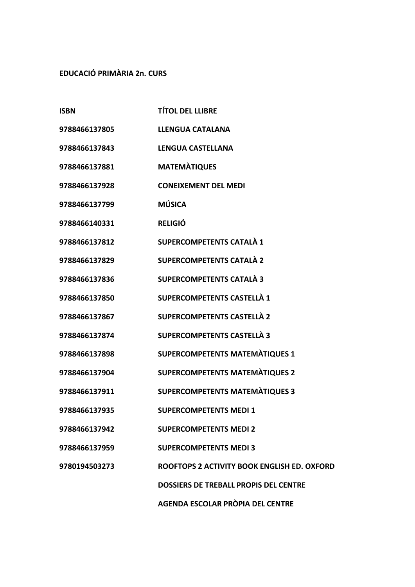## **EDUCACIÓ PRIMÀRIA 2n. CURS**

| <b>ISBN</b>   | <b>TÍTOL DEL LLIBRE</b>                      |
|---------------|----------------------------------------------|
| 9788466137805 | <b>LLENGUA CATALANA</b>                      |
| 9788466137843 | <b>LENGUA CASTELLANA</b>                     |
| 9788466137881 | <b>MATEMATIQUES</b>                          |
| 9788466137928 | <b>CONEIXEMENT DEL MEDI</b>                  |
| 9788466137799 | <b>MÚSICA</b>                                |
| 9788466140331 | <b>RELIGIÓ</b>                               |
| 9788466137812 | <b>SUPERCOMPETENTS CATALÀ 1</b>              |
| 9788466137829 | <b>SUPERCOMPETENTS CATALÀ 2</b>              |
| 9788466137836 | <b>SUPERCOMPETENTS CATALÀ 3</b>              |
| 9788466137850 | <b>SUPERCOMPETENTS CASTELLÀ 1</b>            |
| 9788466137867 | <b>SUPERCOMPETENTS CASTELLÀ 2</b>            |
| 9788466137874 | <b>SUPERCOMPETENTS CASTELLÀ 3</b>            |
| 9788466137898 | <b>SUPERCOMPETENTS MATEMATIQUES 1</b>        |
| 9788466137904 | <b>SUPERCOMPETENTS MATEMÀTIQUES 2</b>        |
| 9788466137911 | <b>SUPERCOMPETENTS MATEMÀTIQUES 3</b>        |
| 9788466137935 | <b>SUPERCOMPETENTS MEDI 1</b>                |
| 9788466137942 | <b>SUPERCOMPETENTS MEDI 2</b>                |
| 9788466137959 | <b>SUPERCOMPETENTS MEDI3</b>                 |
| 9780194503273 | ROOFTOPS 2 ACTIVITY BOOK ENGLISH ED. OXFORD  |
|               | <b>DOSSIERS DE TREBALL PROPIS DEL CENTRE</b> |
|               | AGENDA ESCOLAR PRÒPIA DEL CENTRE             |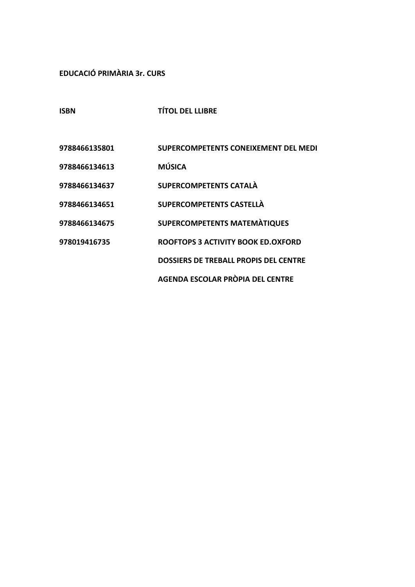# **EDUCACIÓ PRIMÀRIA 3r. CURS**

**ISBN TÍTOL DEL LLIBRE**

| 9788466135801 | SUPERCOMPETENTS CONEIXEMENT DEL MEDI         |
|---------------|----------------------------------------------|
| 9788466134613 | <b>MÚSICA</b>                                |
| 9788466134637 | <b>SUPERCOMPETENTS CATALA</b>                |
| 9788466134651 | SUPERCOMPETENTS CASTELLA                     |
| 9788466134675 | <b>SUPERCOMPETENTS MATEMÀTIQUES</b>          |
| 978019416735  | ROOFTOPS 3 ACTIVITY BOOK ED.OXFORD           |
|               | <b>DOSSIERS DE TREBALL PROPIS DEL CENTRE</b> |
|               | AGENDA ESCOLAR PRÒPIA DEL CENTRE             |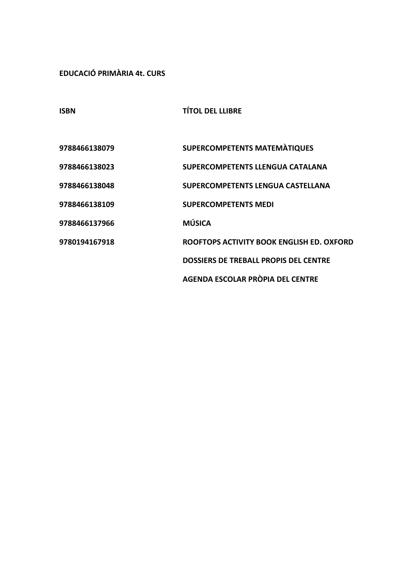**EDUCACIÓ PRIMÀRIA 4t. CURS**

**ISBN TÍTOL DEL LLIBRE**

| 9788466138079 | <b>SUPERCOMPETENTS MATEMATIQUES</b>          |
|---------------|----------------------------------------------|
| 9788466138023 | <b>SUPERCOMPETENTS LLENGUA CATALANA</b>      |
| 9788466138048 | <b>SUPERCOMPETENTS LENGUA CASTELLANA</b>     |
| 9788466138109 | <b>SUPERCOMPETENTS MEDI</b>                  |
| 9788466137966 | <b>MÚSICA</b>                                |
| 9780194167918 | ROOFTOPS ACTIVITY BOOK ENGLISH ED. OXFORD    |
|               | <b>DOSSIERS DE TREBALL PROPIS DEL CENTRE</b> |
|               | AGENDA ESCOLAR PRÒPIA DEL CENTRE             |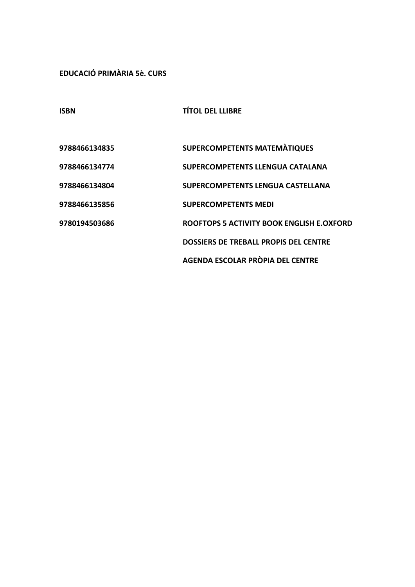**EDUCACIÓ PRIMÀRIA 5è. CURS**

| <b>ISBN</b>   | <b>TÍTOL DEL LLIBRE</b>                   |
|---------------|-------------------------------------------|
|               |                                           |
| 9788466134835 | SUPERCOMPETENTS MATEMATIQUES              |
| 9788466134774 | <b>SUPERCOMPETENTS LLENGUA CATALANA</b>   |
| 9788466134804 | SUPERCOMPETENTS LENGUA CASTELLANA         |
| 9788466135856 | <b>SUPERCOMPETENTS MEDI</b>               |
| 9780194503686 | ROOFTOPS 5 ACTIVITY BOOK ENGLISH E.OXFORD |
|               | DOSSIERS DE TREBALL PROPIS DEL CENTRE     |
|               | AGENDA ESCOLAR PRÒPIA DEL CENTRE          |